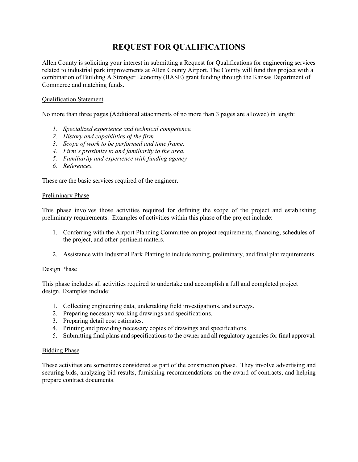# **REQUEST FOR QUALIFICATIONS**

Allen County is soliciting your interest in submitting a Request for Qualifications for engineering services related to industrial park improvements at Allen County Airport. The County will fund this project with a combination of Building A Stronger Economy (BASE) grant funding through the Kansas Department of Commerce and matching funds.

## Qualification Statement

No more than three pages (Additional attachments of no more than 3 pages are allowed) in length:

- *1. Specialized experience and technical competence.*
- *2. History and capabilities of the firm.*
- *3. Scope of work to be performed and time frame.*
- *4. Firm's proximity to and familiarity to the area.*
- *5. Familiarity and experience with funding agency*
- *6. References.*

These are the basic services required of the engineer.

#### Preliminary Phase

This phase involves those activities required for defining the scope of the project and establishing preliminary requirements. Examples of activities within this phase of the project include:

- 1. Conferring with the Airport Planning Committee on project requirements, financing, schedules of the project, and other pertinent matters.
- 2. Assistance with Industrial Park Platting to include zoning, preliminary, and final plat requirements.

## Design Phase

This phase includes all activities required to undertake and accomplish a full and completed project design. Examples include:

- 1. Collecting engineering data, undertaking field investigations, and surveys.
- 2. Preparing necessary working drawings and specifications.
- 3. Preparing detail cost estimates.
- 4. Printing and providing necessary copies of drawings and specifications.
- 5. Submitting final plans and specifications to the owner and all regulatory agencies for final approval.

## Bidding Phase

These activities are sometimes considered as part of the construction phase. They involve advertising and securing bids, analyzing bid results, furnishing recommendations on the award of contracts, and helping prepare contract documents.